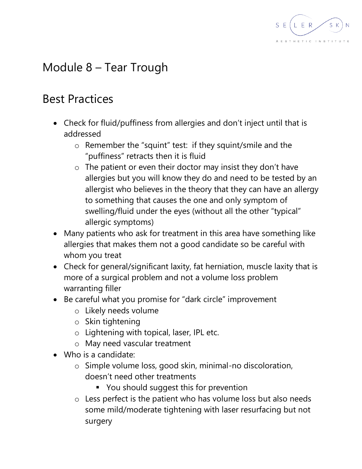

## Module 8 – Tear Trough

## Best Practices

- Check for fluid/puffiness from allergies and don't inject until that is addressed
	- o Remember the "squint" test: if they squint/smile and the "puffiness" retracts then it is fluid
	- $\circ$  The patient or even their doctor may insist they don't have allergies but you will know they do and need to be tested by an allergist who believes in the theory that they can have an allergy to something that causes the one and only symptom of swelling/fluid under the eyes (without all the other "typical" allergic symptoms)
- Many patients who ask for treatment in this area have something like allergies that makes them not a good candidate so be careful with whom you treat
- Check for general/significant laxity, fat herniation, muscle laxity that is more of a surgical problem and not a volume loss problem warranting filler
- Be careful what you promise for "dark circle" improvement
	- o Likely needs volume
	- o Skin tightening
	- o Lightening with topical, laser, IPL etc.
	- o May need vascular treatment
- Who is a candidate:
	- o Simple volume loss, good skin, minimal-no discoloration, doesn't need other treatments
		- You should suggest this for prevention
	- o Less perfect is the patient who has volume loss but also needs some mild/moderate tightening with laser resurfacing but not surgery